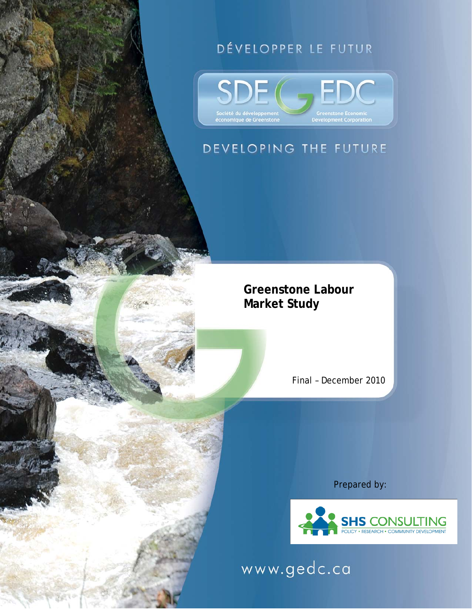# DÉVELOPPER LE FUTUR



# DEVELOPING THE FUTURE

**Greenstone Labour Market Study** 

Final – December 2010

Prepared by:



www.gedc.ca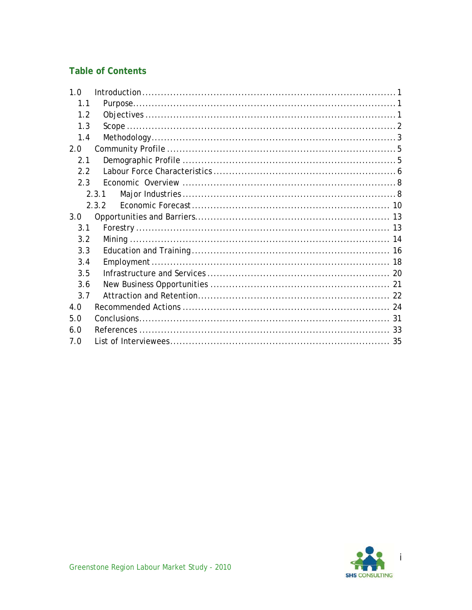#### **Table of Contents**

| 1.0 |       |  |
|-----|-------|--|
| 1.1 |       |  |
| 1.2 |       |  |
| 1.3 |       |  |
| 1.4 |       |  |
| 2.0 |       |  |
| 2.1 |       |  |
| 2.2 |       |  |
| 2.3 |       |  |
|     | 2.3.1 |  |
|     | 2.3.2 |  |
| 3.0 |       |  |
| 3.1 |       |  |
| 3.2 |       |  |
| 3.3 |       |  |
| 3.4 |       |  |
| 3.5 |       |  |
| 3.6 |       |  |
| 3.7 |       |  |
| 4.0 |       |  |
| 5.0 |       |  |
| 6.0 |       |  |
| 7.0 |       |  |

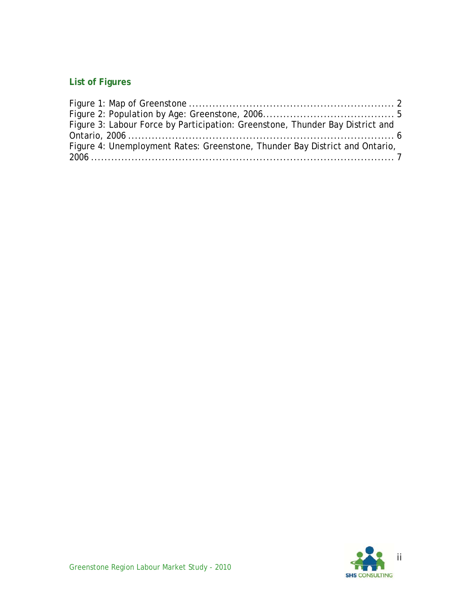# **List of Figures**

| Figure 3: Labour Force by Participation: Greenstone, Thunder Bay District and |  |
|-------------------------------------------------------------------------------|--|
|                                                                               |  |
| Figure 4: Unemployment Rates: Greenstone, Thunder Bay District and Ontario,   |  |
|                                                                               |  |

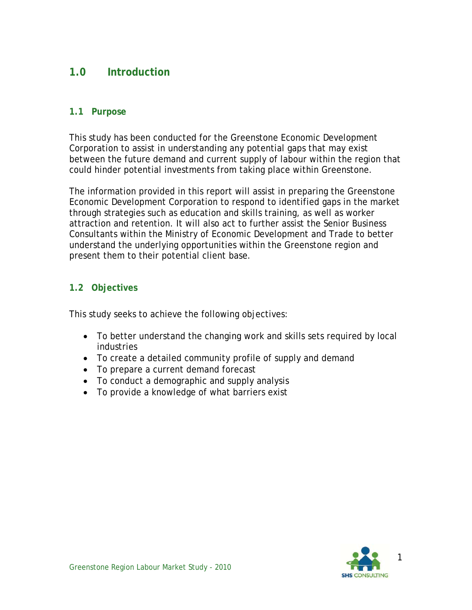# **1.0 Introduction**

#### **1.1 Purpose**

This study has been conducted for the Greenstone Economic Development Corporation to assist in understanding any potential gaps that may exist between the future demand and current supply of labour within the region that could hinder potential investments from taking place within Greenstone.

The information provided in this report will assist in preparing the Greenstone Economic Development Corporation to respond to identified gaps in the market through strategies such as education and skills training, as well as worker attraction and retention. It will also act to further assist the Senior Business Consultants within the Ministry of Economic Development and Trade to better understand the underlying opportunities within the Greenstone region and present them to their potential client base.

#### **1.2 Objectives**

This study seeks to achieve the following objectives:

- To better understand the changing work and skills sets required by local industries
- To create a detailed community profile of supply and demand
- To prepare a current demand forecast
- To conduct a demographic and supply analysis
- To provide a knowledge of what barriers exist

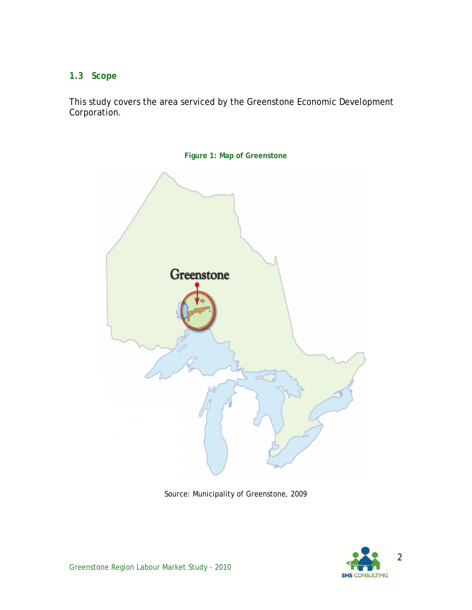#### **1.3 Scope**

This study covers the area serviced by the Greenstone Economic Development Corporation.



**Figure 1: Map of Greenstone** 

Source: Municipality of Greenstone, 2009

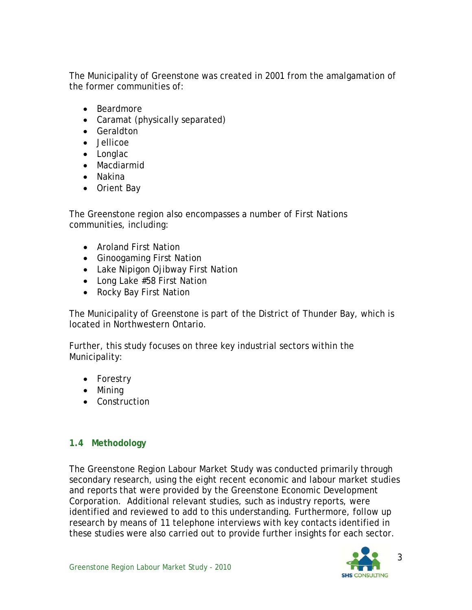The Municipality of Greenstone was created in 2001 from the amalgamation of the former communities of:

- Beardmore
- Caramat (physically separated)
- Geraldton
- Jellicoe
- Longlac
- Macdiarmid
- Nakina
- Orient Bay

The Greenstone region also encompasses a number of First Nations communities, including:

- Aroland First Nation
- Ginoogaming First Nation
- Lake Nipigon Ojibway First Nation
- Long Lake #58 First Nation
- Rocky Bay First Nation

The Municipality of Greenstone is part of the District of Thunder Bay, which is located in Northwestern Ontario.

Further, this study focuses on three key industrial sectors within the Municipality:

- Forestry
- Mining
- Construction

#### **1.4 Methodology**

The Greenstone Region Labour Market Study was conducted primarily through secondary research, using the eight recent economic and labour market studies and reports that were provided by the Greenstone Economic Development Corporation. Additional relevant studies, such as industry reports, were identified and reviewed to add to this understanding. Furthermore, follow up research by means of 11 telephone interviews with key contacts identified in these studies were also carried out to provide further insights for each sector.

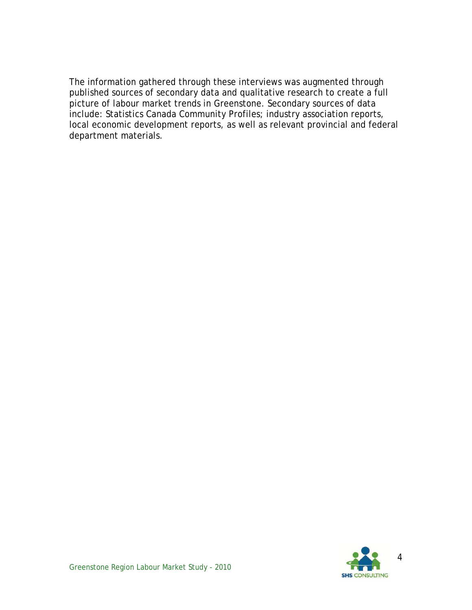The information gathered through these interviews was augmented through published sources of secondary data and qualitative research to create a full picture of labour market trends in Greenstone. Secondary sources of data include: Statistics Canada Community Profiles; industry association reports, local economic development reports, as well as relevant provincial and federal department materials.

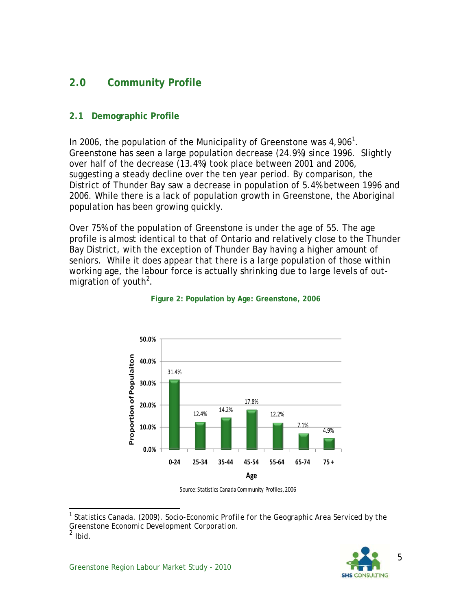# **2.0 Community Profile**

#### **2.1 Demographic Profile**

In 2006, the population of the Municipality of Greenstone was  $4,906^1$ . Greenstone has seen a large population decrease (24.9%) since 1996. Slightly over half of the decrease (13.4%) took place between 2001 and 2006, suggesting a steady decline over the ten year period. By comparison, the District of Thunder Bay saw a decrease in population of 5.4% between 1996 and 2006. While there is a lack of population growth in Greenstone, the Aboriginal population has been growing quickly.

Over 75% of the population of Greenstone is under the age of 55. The age profile is almost identical to that of Ontario and relatively close to the Thunder Bay District, with the exception of Thunder Bay having a higher amount of seniors. While it does appear that there is a large population of those within working age, the labour force is actually shrinking due to large levels of outmigration of youth<sup>2</sup>.



#### **Figure 2: Population by Age: Greenstone, 2006**

Source: Statistics Canada Community Profiles, 2006

<sup>&</sup>lt;sup>1</sup> Statistics Canada. (2009). *Socio-Economic Profile for the Geographic Area Serviced by the Greenstone Economic Development Corporation.*  $\frac{2}{2}$  Ibid.

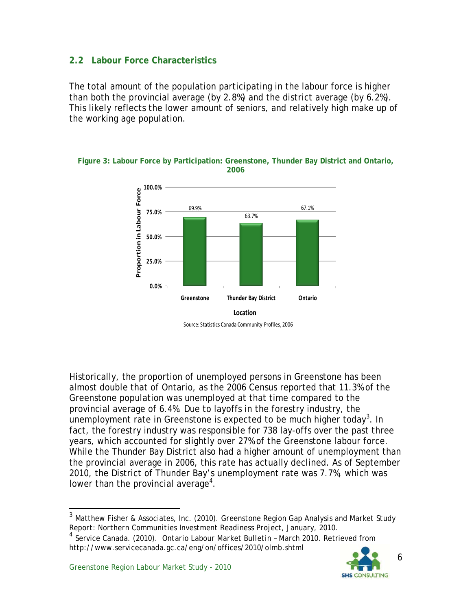#### **2.2 Labour Force Characteristics**

The total amount of the population participating in the labour force is higher than both the provincial average (by 2.8%) and the district average (by 6.2%). This likely reflects the lower amount of seniors, and relatively high make up of the working age population.



**Figure 3: Labour Force by Participation: Greenstone, Thunder Bay District and Ontario, 2006** 

Historically, the proportion of unemployed persons in Greenstone has been almost double that of Ontario, as the 2006 Census reported that 11.3% of the Greenstone population was unemployed at that time compared to the provincial average of 6.4%. Due to layoffs in the forestry industry, the on interprison and the Creenstone is expected to be much higher today<sup>3</sup>. In fact, the forestry industry was responsible for 738 lay-offs over the past three years, which accounted for slightly over 27% of the Greenstone labour force. While the Thunder Bay District also had a higher amount of unemployment than the provincial average in 2006, this rate has actually declined. As of September 2010, the District of Thunder Bay's unemployment rate was 7.7%, which was lower than the provincial average<sup>4</sup>.

http://www.servicecanada.gc.ca/eng/on/offices/2010/olmb.shtml



<sup>3</sup> Matthew Fisher & Associates, Inc. (2010). *Greenstone Region Gap Analysis and Market Study Report: Northern Communities Investment Readiness Project, January, 2010.* <sup>4</sup> Service Canada. (2010). *Ontario Labour Market Bulletin – March 2010.* Retrieved from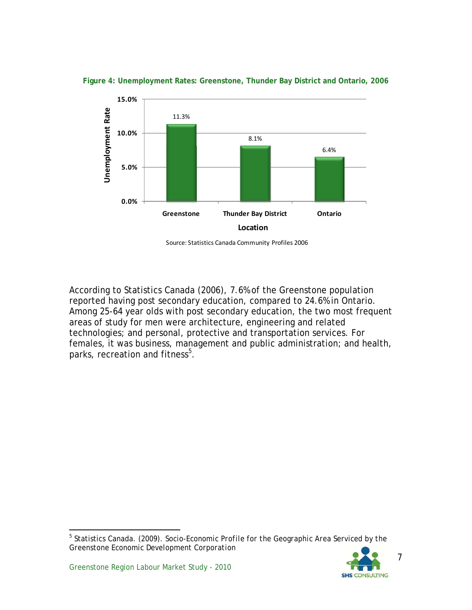

**Figure 4: Unemployment Rates: Greenstone, Thunder Bay District and Ontario, 2006** 

Source: Statistics Canada Community Profiles 2006

According to Statistics Canada (2006), 7.6% of the Greenstone population reported having post secondary education, compared to 24.6% in Ontario. Among 25-64 year olds with post secondary education, the two most frequent areas of study for men were architecture, engineering and related technologies; and personal, protective and transportation services. For females, it was business, management and public administration; and health, parks, recreation and fitness $^5$ .

<sup>5</sup> Statistics Canada. (2009). *Socio-Economic Profile for the Geographic Area Serviced by the Greenstone Economic Development Corporation*



7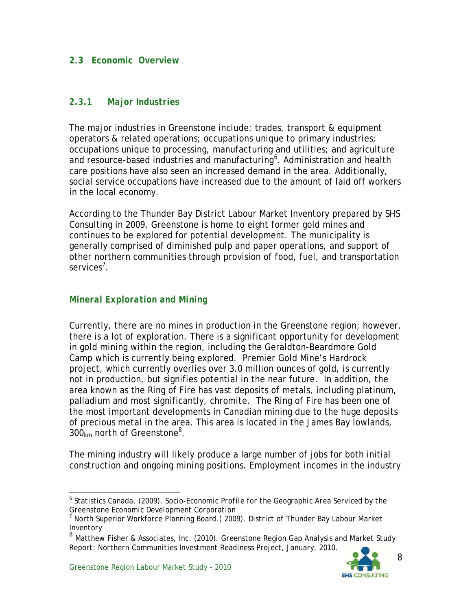#### **2.3 Economic Overview**

#### *2.3.1 Major Industries*

The major industries in Greenstone include: trades, transport & equipment operators & related operations; occupations unique to primary industries; occupations unique to processing, manufacturing and utilities; and agriculture and resource-based industries and manufacturing<sup>6</sup>. Administration and health care positions have also seen an increased demand in the area. Additionally, social service occupations have increased due to the amount of laid off workers in the local economy.

According to the Thunder Bay District Labour Market Inventory prepared by SHS Consulting in 2009, Greenstone is home to eight former gold mines and continues to be explored for potential development. The municipality is generally comprised of diminished pulp and paper operations, and support of other northern communities through provision of food, fuel, and transportation services<sup>7</sup>.

#### *Mineral Exploration and Mining*

Currently, there are no mines in production in the Greenstone region; however, there is a lot of exploration. There is a significant opportunity for development in gold mining within the region, including the Geraldton-Beardmore Gold Camp which is currently being explored. Premier Gold Mine's Hardrock project, which currently overlies over 3.0 million ounces of gold, is currently not in production, but signifies potential in the near future. In addition, the area known as the Ring of Fire has vast deposits of metals, including platinum, palladium and most significantly, chromite. The Ring of Fire has been one of the most important developments in Canadian mining due to the huge deposits of precious metal in the area. This area is located in the James Bay lowlands,  $300<sub>km</sub>$  north of Greenstone<sup>8</sup>.

The mining industry will likely produce a large number of jobs for both initial construction and ongoing mining positions. Employment incomes in the industry

<sup>-</sup>6 Statistics Canada. (2009). *Socio-Economic Profile for the Geographic Area Serviced by the Greenstone Economic Development Corporation*

<sup>7</sup> North Superior Workforce Planning Board.( 2009). *District of Thunder Bay Labour Market Inventory*

<sup>8</sup> Matthew Fisher & Associates, Inc. (2010). *Greenstone Region Gap Analysis and Market Study Report: Northern Communities Investment Readiness Project, January, 2010.*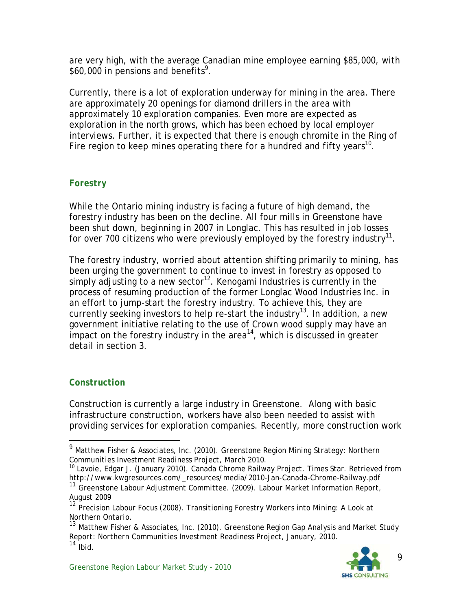are very high, with the average Canadian mine employee earning \$85,000, with \$60,000 in pensions and benefits<sup>9</sup>.

Currently, there is a lot of exploration underway for mining in the area. There are approximately 20 openings for diamond drillers in the area with approximately 10 exploration companies. Even more are expected as exploration in the north grows, which has been echoed by local employer interviews. Further, it is expected that there is enough chromite in the Ring of Fire region to keep mines operating there for a hundred and fifty years<sup>10</sup>.

#### *Forestry*

While the Ontario mining industry is facing a future of high demand, the forestry industry has been on the decline. All four mills in Greenstone have been shut down, beginning in 2007 in Longlac. This has resulted in job losses for over 700 citizens who were previously employed by the forestry industry $^{11}$ .

The forestry industry, worried about attention shifting primarily to mining, has been urging the government to continue to invest in forestry as opposed to simply adjusting to a new sector<sup>12</sup>. Kenogami Industries is currently in the process of resuming production of the former Longlac Wood Industries Inc. in an effort to jump-start the forestry industry. To achieve this, they are currently seeking investors to help re-start the industry<sup>13</sup>. In addition, a new government initiative relating to the use of Crown wood supply may have an impact on the forestry industry in the area $14$ , which is discussed in greater detail in section 3.

#### *Construction*

l

Construction is currently a large industry in Greenstone. Along with basic infrastructure construction, workers have also been needed to assist with providing services for exploration companies. Recently, more construction work

<sup>9</sup> Matthew Fisher & Associates, Inc. (2010). *Greenstone Region Mining Strategy: Northern* 

<sup>&</sup>lt;sup>10</sup> Lavoie, Edgar J. (January 2010). *Canada Chrome Railway Project.* Times Star. Retrieved from http://www.kwgresources.com/\_resources/media/2010-Jan-Canada-Chrome-Railway.pdf

<sup>11</sup> Greenstone Labour Adjustment Committee. (2009). *Labour Market Information Report, August 2009*

<sup>12</sup> Precision Labour Focus (2008). *Transitioning Forestry Workers into Mining: A Look at Northern Ontario.* 

<sup>13</sup> Matthew Fisher & Associates, Inc. (2010). *Greenstone Region Gap Analysis and Market Study Report: Northern Communities Investment Readiness Project, January, 2010.*   $14$  Ibid.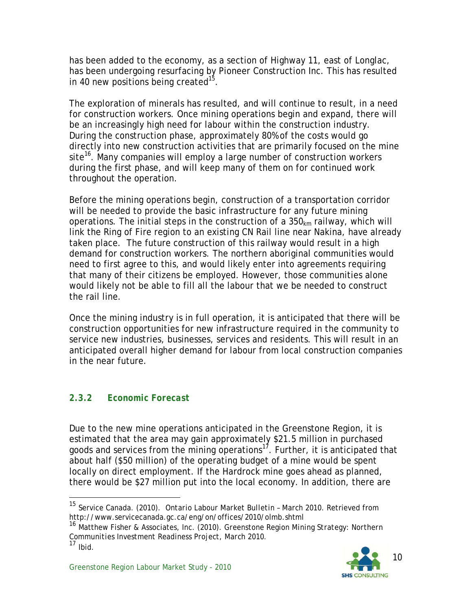has been added to the economy, as a section of Highway 11, east of Longlac, has been undergoing resurfacing by Pioneer Construction Inc. This has resulted in 40 new positions being created<sup>15</sup>.

The exploration of minerals has resulted, and will continue to result, in a need for construction workers. Once mining operations begin and expand, there will be an increasingly high need for labour within the construction industry. During the construction phase, approximately 80% of the costs would go directly into new construction activities that are primarily focused on the mine site<sup>16</sup>. Many companies will employ a large number of construction workers during the first phase, and will keep many of them on for continued work throughout the operation.

Before the mining operations begin, construction of a transportation corridor will be needed to provide the basic infrastructure for any future mining operations. The initial steps in the construction of a  $350<sub>km</sub>$  railway, which will link the Ring of Fire region to an existing CN Rail line near Nakina, have already taken place. The future construction of this railway would result in a high demand for construction workers. The northern aboriginal communities would need to first agree to this, and would likely enter into agreements requiring that many of their citizens be employed. However, those communities alone would likely not be able to fill all the labour that we be needed to construct the rail line.

Once the mining industry is in full operation, it is anticipated that there will be construction opportunities for new infrastructure required in the community to service new industries, businesses, services and residents. This will result in an anticipated overall higher demand for labour from local construction companies in the near future.

## *2.3.2 Economic Forecast*

l

Due to the new mine operations anticipated in the Greenstone Region, it is estimated that the area may gain approximately \$21.5 million in purchased goods and services from the mining operations<sup>17</sup>. Further, it is anticipated that about half (\$50 million) of the operating budget of a mine would be spent locally on direct employment. If the Hardrock mine goes ahead as planned, there would be \$27 million put into the local economy. In addition, there are

<sup>16</sup> Matthew Fisher & Associates, Inc. (2010). *Greenstone Region Mining Strategy: Northern Communities Investment Readiness Project, March 2010.* 17 Ibid.



<sup>15</sup> Service Canada. (2010). *Ontario Labour Market Bulletin – March 2010.* Retrieved from http://www.servicecanada.gc.ca/eng/on/offices/2010/olmb.shtml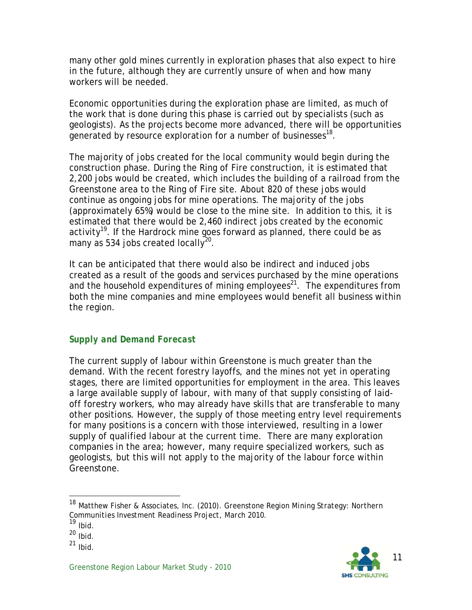many other gold mines currently in exploration phases that also expect to hire in the future, although they are currently unsure of when and how many workers will be needed.

Economic opportunities during the exploration phase are limited, as much of the work that is done during this phase is carried out by specialists (such as geologists). As the projects become more advanced, there will be opportunities generated by resource exploration for a number of businesses<sup>18</sup>.

The majority of jobs created for the local community would begin during the construction phase. During the Ring of Fire construction, it is estimated that 2,200 jobs would be created, which includes the building of a railroad from the Greenstone area to the Ring of Fire site. About 820 of these jobs would continue as ongoing jobs for mine operations. The majority of the jobs (approximately 65%) would be close to the mine site. In addition to this, it is estimated that there would be 2,460 indirect jobs created by the economic activity<sup>19</sup>. If the Hardrock mine goes forward as planned, there could be as many as 534 jobs created locally<sup>20</sup>.

It can be anticipated that there would also be indirect and induced jobs created as a result of the goods and services purchased by the mine operations and the household expenditures of mining employees<sup>21</sup>. The expenditures from both the mine companies and mine employees would benefit all business within the region.

#### *Supply and Demand Forecast*

The current supply of labour within Greenstone is much greater than the demand. With the recent forestry layoffs, and the mines not yet in operating stages, there are limited opportunities for employment in the area. This leaves a large available supply of labour, with many of that supply consisting of laidoff forestry workers, who may already have skills that are transferable to many other positions. However, the supply of those meeting entry level requirements for many positions is a concern with those interviewed, resulting in a lower supply of qualified labour at the current time. There are many exploration companies in the area; however, many require specialized workers, such as geologists, but this will not apply to the majority of the labour force within Greenstone.

-



<sup>18</sup> Matthew Fisher & Associates, Inc. (2010). *Greenstone Region Mining Strategy: Northern Communities Investment Readiness Project, March 2010.* 19 Ibid.

 $20$  Ibid.

 $21$  Ibid.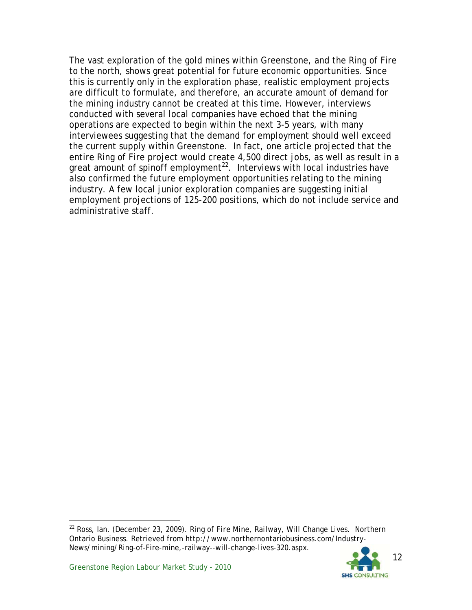The vast exploration of the gold mines within Greenstone, and the Ring of Fire to the north, shows great potential for future economic opportunities. Since this is currently only in the exploration phase, realistic employment projects are difficult to formulate, and therefore, an accurate amount of demand for the mining industry cannot be created at this time. However, interviews conducted with several local companies have echoed that the mining operations are expected to begin within the next 3-5 years, with many interviewees suggesting that the demand for employment should well exceed the current supply within Greenstone. In fact, one article projected that the entire Ring of Fire project would create 4,500 direct jobs, as well as result in a great amount of spinoff employment<sup>22</sup>. Interviews with local industries have also confirmed the future employment opportunities relating to the mining industry. A few local junior exploration companies are suggesting initial employment projections of 125-200 positions, which do not include service and administrative staff.

<sup>22</sup> Ross, Ian. (December 23, 2009). *Ring of Fire Mine, Railway, Will Change Lives.* Northern Ontario Business. Retrieved from http://www.northernontariobusiness.com/Industry-News/mining/Ring-of-Fire-mine,-railway--will-change-lives-320.aspx.

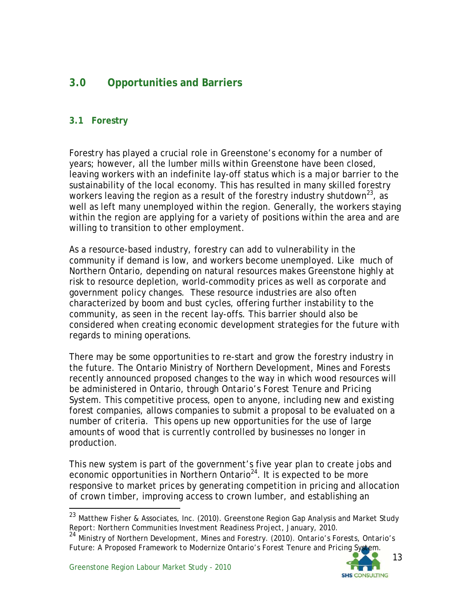# **3.0 Opportunities and Barriers**

#### **3.1 Forestry**

Forestry has played a crucial role in Greenstone's economy for a number of years; however, all the lumber mills within Greenstone have been closed, leaving workers with an indefinite lay-off status which is a major barrier to the sustainability of the local economy. This has resulted in many skilled forestry workers leaving the region as a result of the forestry industry shutdown<sup>23</sup>, as well as left many unemployed within the region. Generally, the workers staying within the region are applying for a variety of positions within the area and are willing to transition to other employment.

As a resource-based industry, forestry can add to vulnerability in the community if demand is low, and workers become unemployed. Like much of Northern Ontario, depending on natural resources makes Greenstone highly at risk to resource depletion, world-commodity prices as well as corporate and government policy changes. These resource industries are also often characterized by boom and bust cycles, offering further instability to the community, as seen in the recent lay-offs. This barrier should also be considered when creating economic development strategies for the future with regards to mining operations.

There may be some opportunities to re-start and grow the forestry industry in the future. The Ontario Ministry of Northern Development, Mines and Forests recently announced proposed changes to the way in which wood resources will be administered in Ontario, through *Ontario's Forest Tenure and Pricing System*. This competitive process, open to anyone, including new and existing forest companies, allows companies to submit a proposal to be evaluated on a number of criteria. This opens up new opportunities for the use of large amounts of wood that is currently controlled by businesses no longer in production.

This new system is part of the government's five year plan to create jobs and economic opportunities in Northern Ontario<sup>24</sup>. It is expected to be more responsive to market prices by generating competition in pricing and allocation of crown timber, improving access to crown lumber, and establishing an



<sup>23</sup> Matthew Fisher & Associates, Inc. (2010). *Greenstone Region Gap Analysis and Market Study Report: Northern Communities Investment Readiness Project, January, 2010.* <sup>24</sup> Ministry of Northern Development, Mines and Forestry. (2010). *Ontario's Forests, Ontario's* 

*Future: A Proposed Framework to Modernize Ontario's Forest Tenure and Pricing System.*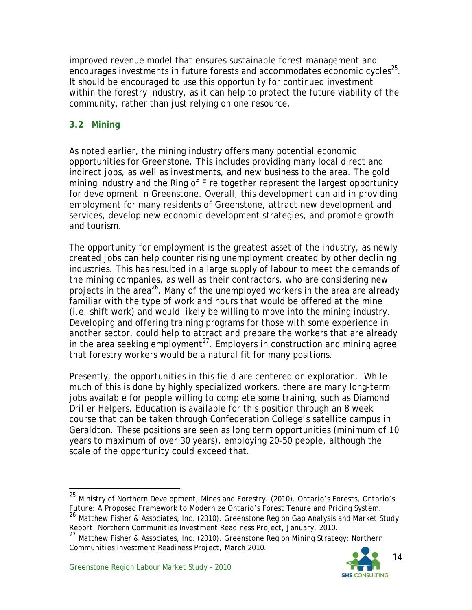improved revenue model that ensures sustainable forest management and encourages investments in future forests and accommodates economic cycles<sup>25</sup>. It should be encouraged to use this opportunity for continued investment within the forestry industry, as it can help to protect the future viability of the community, rather than just relying on one resource.

#### **3.2 Mining**

As noted earlier, the mining industry offers many potential economic opportunities for Greenstone. This includes providing many local direct and indirect jobs, as well as investments, and new business to the area. The gold mining industry and the Ring of Fire together represent the largest opportunity for development in Greenstone. Overall, this development can aid in providing employment for many residents of Greenstone, attract new development and services, develop new economic development strategies, and promote growth and tourism.

The opportunity for employment is the greatest asset of the industry, as newly created jobs can help counter rising unemployment created by other declining industries. This has resulted in a large supply of labour to meet the demands of the mining companies, as well as their contractors, who are considering new projects in the area<sup>26</sup>. Many of the unemployed workers in the area are already familiar with the type of work and hours that would be offered at the mine (i.e. shift work) and would likely be willing to move into the mining industry. Developing and offering training programs for those with some experience in another sector, could help to attract and prepare the workers that are already in the area seeking employment<sup>27</sup>. Employers in construction and mining agree that forestry workers would be a natural fit for many positions.

Presently, the opportunities in this field are centered on exploration. While much of this is done by highly specialized workers, there are many long-term jobs available for people willing to complete some training, such as Diamond Driller Helpers. Education is available for this position through an 8 week course that can be taken through Confederation College's satellite campus in Geraldton. These positions are seen as long term opportunities (minimum of 10 years to maximum of over 30 years), employing 20-50 people, although the scale of the opportunity could exceed that.

*Report: Northern Communities Investment Readiness Project, January, 2010.* <sup>27</sup> Matthew Fisher & Associates, Inc. (2010). *Greenstone Region Mining Strategy: Northern Communities Investment Readiness Project, March 2010.*



-

<sup>25</sup> Ministry of Northern Development, Mines and Forestry. (2010). *Ontario's Forests, Ontario's Future: A Proposed Framework to Modernize Ontario's Forest Tenure and Pricing System.* <sup>26</sup> Matthew Fisher & Associates, Inc. (2010). *Greenstone Region Gap Analysis and Market Study*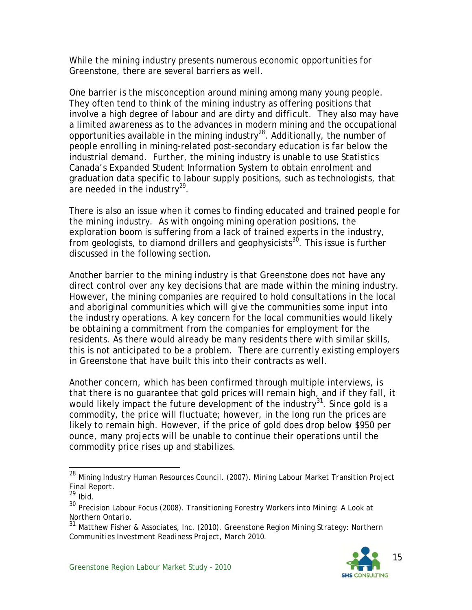While the mining industry presents numerous economic opportunities for Greenstone, there are several barriers as well.

One barrier is the misconception around mining among many young people. They often tend to think of the mining industry as offering positions that involve a high degree of labour and are dirty and difficult. They also may have a limited awareness as to the advances in modern mining and the occupational opportunities available in the mining industry28. Additionally, the number of people enrolling in mining-related post-secondary education is far below the industrial demand. Further, the mining industry is unable to use Statistics Canada's Expanded Student Information System to obtain enrolment and graduation data specific to labour supply positions, such as technologists, that are needed in the industry<sup>29</sup>.

There is also an issue when it comes to finding educated and trained people for the mining industry. As with ongoing mining operation positions, the exploration boom is suffering from a lack of trained experts in the industry, from geologists, to diamond drillers and geophysicists<sup>30</sup>. This issue is further discussed in the following section.

Another barrier to the mining industry is that Greenstone does not have any direct control over any key decisions that are made within the mining industry. However, the mining companies are required to hold consultations in the local and aboriginal communities which will give the communities some input into the industry operations. A key concern for the local communities would likely be obtaining a commitment from the companies for employment for the residents. As there would already be many residents there with similar skills, this is not anticipated to be a problem. There are currently existing employers in Greenstone that have built this into their contracts as well.

Another concern, which has been confirmed through multiple interviews, is that there is no guarantee that gold prices will remain high, and if they fall, it would likely impact the future development of the industry $31$ . Since gold is a commodity, the price will fluctuate; however, in the long run the prices are likely to remain high. However, if the price of gold does drop below \$950 per ounce, many projects will be unable to continue their operations until the commodity price rises up and stabilizes.

-

<sup>31</sup> Matthew Fisher & Associates, Inc. (2010). *Greenstone Region Mining Strategy: Northern Communities Investment Readiness Project, March 2010.*



<sup>28</sup> Mining Industry Human Resources Council. (2007). *Mining Labour Market Transition Project Final Report.*

 $29$  Ibid.

<sup>30</sup> Precision Labour Focus (2008). *Transitioning Forestry Workers into Mining: A Look at Northern Ontario.*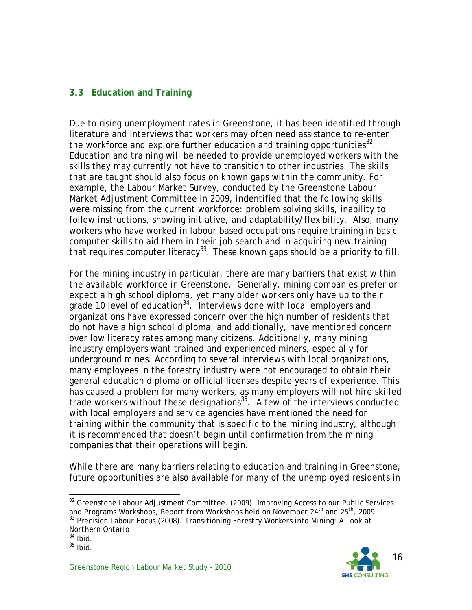#### **3.3 Education and Training**

Due to rising unemployment rates in Greenstone, it has been identified through literature and interviews that workers may often need assistance to re-enter the workforce and explore further education and training opportunities $^{32}$ . Education and training will be needed to provide unemployed workers with the skills they may currently not have to transition to other industries. The skills that are taught should also focus on known gaps within the community. For example, the Labour Market Survey, conducted by the Greenstone Labour Market Adjustment Committee in 2009, indentified that the following skills were missing from the current workforce: problem solving skills, inability to follow instructions, showing initiative, and adaptability/flexibility. Also, many workers who have worked in labour based occupations require training in basic computer skills to aid them in their job search and in acquiring new training that requires computer literacy<sup>33</sup>. These known gaps should be a priority to fill.

For the mining industry in particular, there are many barriers that exist within the available workforce in Greenstone. Generally, mining companies prefer or expect a high school diploma, yet many older workers only have up to their grade 10 level of education<sup>34</sup>. Interviews done with local employers and organizations have expressed concern over the high number of residents that do not have a high school diploma, and additionally, have mentioned concern over low literacy rates among many citizens. Additionally, many mining industry employers want trained and experienced miners, especially for underground mines. According to several interviews with local organizations, many employees in the forestry industry were not encouraged to obtain their general education diploma or official licenses despite years of experience. This has caused a problem for many workers, as many employers will not hire skilled trade workers without these designations<sup>35</sup>. A few of the interviews conducted with local employers and service agencies have mentioned the need for training within the community that is specific to the mining industry, although it is recommended that doesn't begin until confirmation from the mining companies that their operations will begin.

While there are many barriers relating to education and training in Greenstone, future opportunities are also available for many of the unemployed residents in



l 32 Greenstone Labour Adjustment Committee. (2009). *Improving Access to our Public Services and Programs Workshops, Report from Workshops held on November 24th and 25th, 2009* 33 Precision Labour Focus (2008). *Transitioning Forestry Workers into Mining: A Look at Northern Ontario*

 $34$  Ibid.

 $35$  Ibid.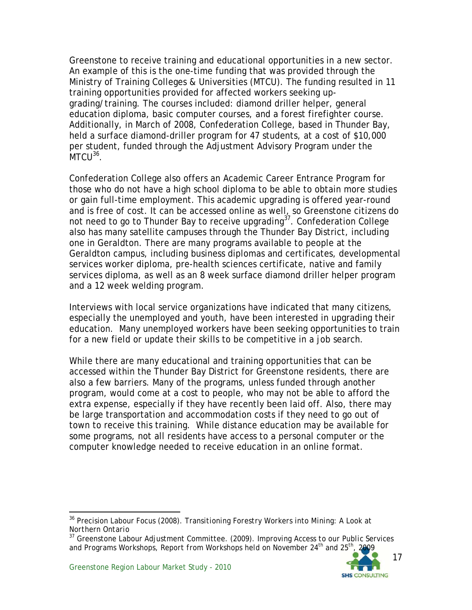Greenstone to receive training and educational opportunities in a new sector. An example of this is the one-time funding that was provided through the Ministry of Training Colleges & Universities (MTCU). The funding resulted in 11 training opportunities provided for affected workers seeking upgrading/training. The courses included: diamond driller helper, general education diploma, basic computer courses, and a forest firefighter course. Additionally, in March of 2008, Confederation College, based in Thunder Bay, held a surface diamond-driller program for 47 students, at a cost of \$10,000 per student, funded through the Adjustment Advisory Program under the  $MTC1<sup>36</sup>$ .

Confederation College also offers an Academic Career Entrance Program for those who do not have a high school diploma to be able to obtain more studies or gain full-time employment. This academic upgrading is offered year-round and is free of cost. It can be accessed online as well, so Greenstone citizens do not need to go to Thunder Bay to receive upgrading<sup>37</sup>. Confederation College also has many satellite campuses through the Thunder Bay District, including one in Geraldton. There are many programs available to people at the Geraldton campus, including business diplomas and certificates, developmental services worker diploma, pre-health sciences certificate, native and family services diploma, as well as an 8 week surface diamond driller helper program and a 12 week welding program.

Interviews with local service organizations have indicated that many citizens, especially the unemployed and youth, have been interested in upgrading their education. Many unemployed workers have been seeking opportunities to train for a new field or update their skills to be competitive in a job search.

While there are many educational and training opportunities that can be accessed within the Thunder Bay District for Greenstone residents, there are also a few barriers. Many of the programs, unless funded through another program, would come at a cost to people, who may not be able to afford the extra expense, especially if they have recently been laid off. Also, there may be large transportation and accommodation costs if they need to go out of town to receive this training. While distance education may be available for some programs, not all residents have access to a personal computer or the computer knowledge needed to receive education in an online format.

l 36 Precision Labour Focus (2008). *Transitioning Forestry Workers into Mining: A Look at Northern Ontario*

<sup>37</sup> Greenstone Labour Adjustment Committee. (2009). *Improving Access to our Public Services and Programs Workshops, Report from Workshops held on November 24th and 25th, 2009*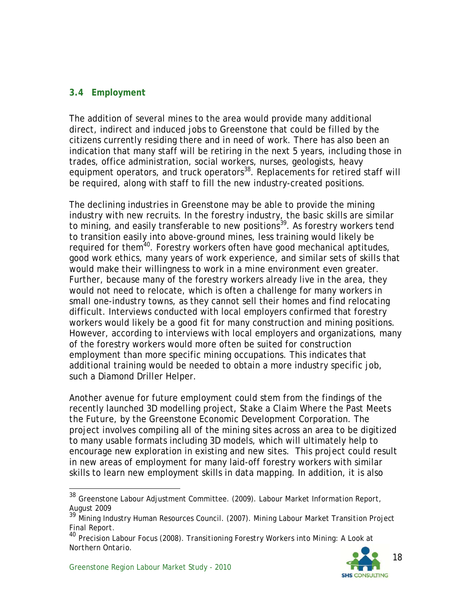#### **3.4 Employment**

The addition of several mines to the area would provide many additional direct, indirect and induced jobs to Greenstone that could be filled by the citizens currently residing there and in need of work. There has also been an indication that many staff will be retiring in the next 5 years, including those in trades, office administration, social workers, nurses, geologists, heavy equipment operators, and truck operators<sup>38</sup>. Replacements for retired staff will be required, along with staff to fill the new industry-created positions.

The declining industries in Greenstone may be able to provide the mining industry with new recruits. In the forestry industry, the basic skills are similar to mining, and easily transferable to new positions<sup>39</sup>. As forestry workers tend to transition easily into above-ground mines, less training would likely be required for them<sup>40</sup>. Forestry workers often have good mechanical aptitudes, good work ethics, many years of work experience, and similar sets of skills that would make their willingness to work in a mine environment even greater. Further, because many of the forestry workers already live in the area, they would not need to relocate, which is often a challenge for many workers in small one-industry towns, as they cannot sell their homes and find relocating difficult. Interviews conducted with local employers confirmed that forestry workers would likely be a good fit for many construction and mining positions. However, according to interviews with local employers and organizations, many of the forestry workers would more often be suited for construction employment than more specific mining occupations. This indicates that additional training would be needed to obtain a more industry specific job, such a Diamond Driller Helper.

Another avenue for future employment could stem from the findings of the recently launched 3D modelling project, *Stake a Claim Where the Past Meets the Future*, by the Greenstone Economic Development Corporation. The project involves compiling all of the mining sites across an area to be digitized to many usable formats including 3D models, which will ultimately help to encourage new exploration in existing and new sites. This project could result in new areas of employment for many laid-off forestry workers with similar skills to learn new employment skills in data mapping. In addition, it is also

-



<sup>38</sup> Greenstone Labour Adjustment Committee. (2009). *Labour Market Information Report, August 2009*

<sup>39</sup> Mining Industry Human Resources Council. (2007). *Mining Labour Market Transition Project Final Report.*

<sup>40</sup> Precision Labour Focus (2008). *Transitioning Forestry Workers into Mining: A Look at Northern Ontario.*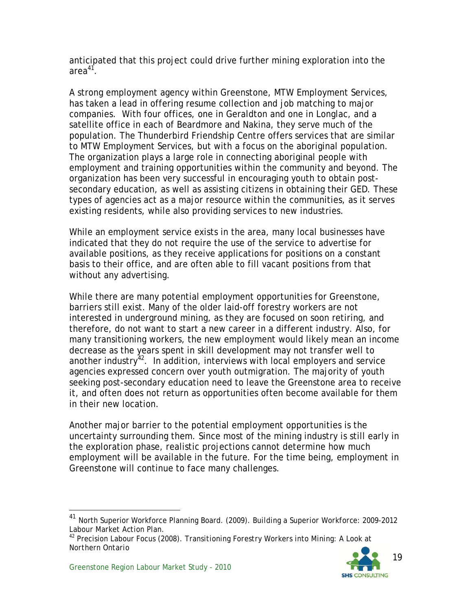anticipated that this project could drive further mining exploration into the area<sup>41</sup>.

A strong employment agency within Greenstone, MTW Employment Services, has taken a lead in offering resume collection and job matching to major companies. With four offices, one in Geraldton and one in Longlac, and a satellite office in each of Beardmore and Nakina, they serve much of the population. The Thunderbird Friendship Centre offers services that are similar to MTW Employment Services, but with a focus on the aboriginal population. The organization plays a large role in connecting aboriginal people with employment and training opportunities within the community and beyond. The organization has been very successful in encouraging youth to obtain postsecondary education, as well as assisting citizens in obtaining their GED. These types of agencies act as a major resource within the communities, as it serves existing residents, while also providing services to new industries.

While an employment service exists in the area, many local businesses have indicated that they do not require the use of the service to advertise for available positions, as they receive applications for positions on a constant basis to their office, and are often able to fill vacant positions from that without any advertising.

While there are many potential employment opportunities for Greenstone, barriers still exist. Many of the older laid-off forestry workers are not interested in underground mining, as they are focused on soon retiring, and therefore, do not want to start a new career in a different industry. Also, for many transitioning workers, the new employment would likely mean an income decrease as the years spent in skill development may not transfer well to another industry $42$ . In addition, interviews with local employers and service agencies expressed concern over youth outmigration. The majority of youth seeking post-secondary education need to leave the Greenstone area to receive it, and often does not return as opportunities often become available for them in their new location.

Another major barrier to the potential employment opportunities is the uncertainty surrounding them. Since most of the mining industry is still early in the exploration phase, realistic projections cannot determine how much employment will be available in the future. For the time being, employment in Greenstone will continue to face many challenges.

<sup>42</sup> Precision Labour Focus (2008). *Transitioning Forestry Workers into Mining: A Look at Northern Ontario*



-

<sup>41</sup> North Superior Workforce Planning Board. (2009). *Building a Superior Workforce: 2009-2012 Labour Market Action Plan.*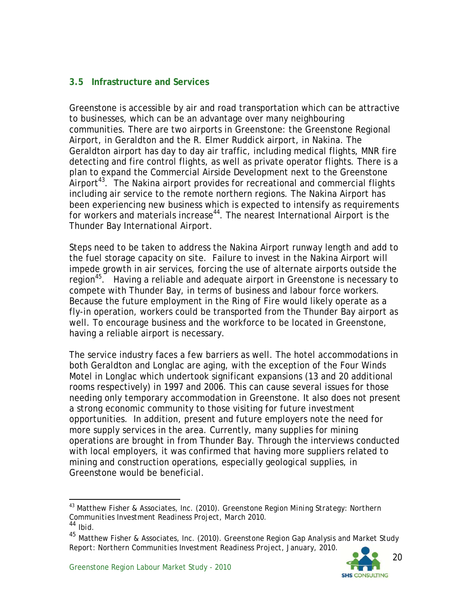#### **3.5 Infrastructure and Services**

Greenstone is accessible by air and road transportation which can be attractive to businesses, which can be an advantage over many neighbouring communities. There are two airports in Greenstone: the Greenstone Regional Airport, in Geraldton and the R. Elmer Ruddick airport, in Nakina. The Geraldton airport has day to day air traffic, including medical flights, MNR fire detecting and fire control flights, as well as private operator flights. There is a plan to expand the Commercial Airside Development next to the Greenstone Airport<sup>43</sup>. The Nakina airport provides for recreational and commercial flights including air service to the remote northern regions. The Nakina Airport has been experiencing new business which is expected to intensify as requirements for workers and materials increase<sup>44</sup>. The nearest International Airport is the Thunder Bay International Airport.

Steps need to be taken to address the Nakina Airport runway length and add to the fuel storage capacity on site. Failure to invest in the Nakina Airport will impede growth in air services, forcing the use of alternate airports outside the region<sup>45</sup>. Having a reliable and adequate airport in Greenstone is necessary to compete with Thunder Bay, in terms of business and labour force workers. Because the future employment in the Ring of Fire would likely operate as a fly-in operation, workers could be transported from the Thunder Bay airport as well. To encourage business and the workforce to be located in Greenstone, having a reliable airport is necessary.

The service industry faces a few barriers as well. The hotel accommodations in both Geraldton and Longlac are aging, with the exception of the Four Winds Motel in Longlac which undertook significant expansions (13 and 20 additional rooms respectively) in 1997 and 2006. This can cause several issues for those needing only temporary accommodation in Greenstone. It also does not present a strong economic community to those visiting for future investment opportunities. In addition, present and future employers note the need for more supply services in the area. Currently, many supplies for mining operations are brought in from Thunder Bay. Through the interviews conducted with local employers, it was confirmed that having more suppliers related to mining and construction operations, especially geological supplies, in Greenstone would be beneficial.

<sup>&</sup>lt;sup>43</sup> Matthew Fisher & Associates, Inc. (2010). *Greenstone Region Mining Strategy: Northern*<br>*Communities Investment Readiness Project, March 2010.*<br><sup>44</sup> Ibid.

<sup>&</sup>lt;sup>45</sup> Matthew Fisher & Associates, Inc. (2010). *Greenstone Region Gap Analysis and Market Study Report: Northern Communities Investment Readiness Project, January, 2010.*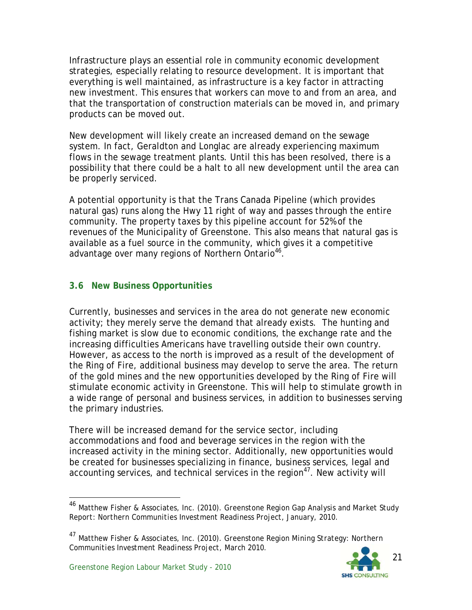Infrastructure plays an essential role in community economic development strategies, especially relating to resource development. It is important that everything is well maintained, as infrastructure is a key factor in attracting new investment. This ensures that workers can move to and from an area, and that the transportation of construction materials can be moved in, and primary products can be moved out.

New development will likely create an increased demand on the sewage system. In fact, Geraldton and Longlac are already experiencing maximum flows in the sewage treatment plants. Until this has been resolved, there is a possibility that there could be a halt to all new development until the area can be properly serviced.

A potential opportunity is that the Trans Canada Pipeline (which provides natural gas) runs along the Hwy 11 right of way and passes through the entire community. The property taxes by this pipeline account for 52% of the revenues of the Municipality of Greenstone. This also means that natural gas is available as a fuel source in the community, which gives it a competitive advantage over many regions of Northern Ontario<sup>46</sup>.

#### **3.6 New Business Opportunities**

Currently, businesses and services in the area do not generate new economic activity; they merely serve the demand that already exists. The hunting and fishing market is slow due to economic conditions, the exchange rate and the increasing difficulties Americans have travelling outside their own country. However, as access to the north is improved as a result of the development of the Ring of Fire, additional business may develop to serve the area. The return of the gold mines and the new opportunities developed by the Ring of Fire will stimulate economic activity in Greenstone. This will help to stimulate growth in a wide range of personal and business services, in addition to businesses serving the primary industries.

There will be increased demand for the service sector, including accommodations and food and beverage services in the region with the increased activity in the mining sector. Additionally, new opportunities would be created for businesses specializing in finance, business services, legal and accounting services, and technical services in the region<sup>47</sup>. New activity will

<sup>47</sup> Matthew Fisher & Associates, Inc. (2010). *Greenstone Region Mining Strategy: Northern Communities Investment Readiness Project, March 2010.*



<sup>46</sup> Matthew Fisher & Associates, Inc. (2010). *Greenstone Region Gap Analysis and Market Study Report: Northern Communities Investment Readiness Project, January, 2010.*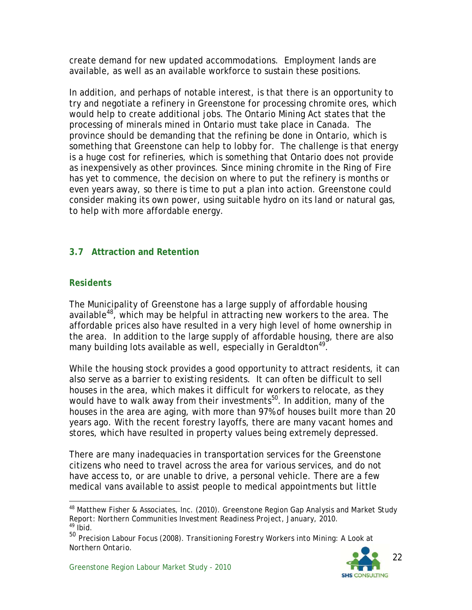create demand for new updated accommodations. Employment lands are available, as well as an available workforce to sustain these positions.

In addition, and perhaps of notable interest, is that there is an opportunity to try and negotiate a refinery in Greenstone for processing chromite ores, which would help to create additional jobs. The Ontario Mining Act states that the processing of minerals mined in Ontario must take place in Canada. The province should be demanding that the refining be done in Ontario, which is something that Greenstone can help to lobby for. The challenge is that energy is a huge cost for refineries, which is something that Ontario does not provide as inexpensively as other provinces. Since mining chromite in the Ring of Fire has yet to commence, the decision on where to put the refinery is months or even years away, so there is time to put a plan into action. Greenstone could consider making its own power, using suitable hydro on its land or natural gas, to help with more affordable energy.

#### **3.7 Attraction and Retention**

#### *Residents*

l

The Municipality of Greenstone has a large supply of affordable housing available<sup>48</sup>, which may be helpful in attracting new workers to the area. The affordable prices also have resulted in a very high level of home ownership in the area. In addition to the large supply of affordable housing, there are also many building lots available as well, especially in Geraldton<sup>49</sup>.

While the housing stock provides a good opportunity to attract residents, it can also serve as a barrier to existing residents. It can often be difficult to sell houses in the area, which makes it difficult for workers to relocate, as they would have to walk away from their investments<sup>50</sup>. In addition, many of the houses in the area are aging, with more than 97% of houses built more than 20 years ago. With the recent forestry layoffs, there are many vacant homes and stores, which have resulted in property values being extremely depressed.

There are many inadequacies in transportation services for the Greenstone citizens who need to travel across the area for various services, and do not have access to, or are unable to drive, a personal vehicle. There are a few medical vans available to assist people to medical appointments but little

<sup>49</sup> Ibid. 50 Precision Labour Focus (2008). *Transitioning Forestry Workers into Mining: A Look at Northern Ontario.* 



<sup>48</sup> Matthew Fisher & Associates, Inc. (2010). *Greenstone Region Gap Analysis and Market Study Report: Northern Communities Investment Readiness Project, January, 2010.*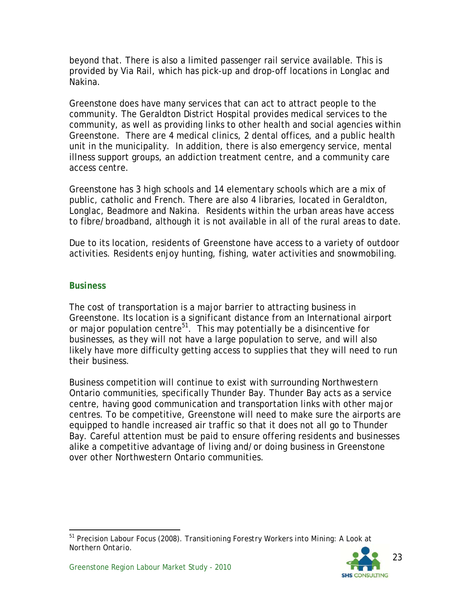beyond that. There is also a limited passenger rail service available. This is provided by Via Rail, which has pick-up and drop-off locations in Longlac and Nakina.

Greenstone does have many services that can act to attract people to the community. The Geraldton District Hospital provides medical services to the community, as well as providing links to other health and social agencies within Greenstone. There are 4 medical clinics, 2 dental offices, and a public health unit in the municipality. In addition, there is also emergency service, mental illness support groups, an addiction treatment centre, and a community care access centre.

Greenstone has 3 high schools and 14 elementary schools which are a mix of public, catholic and French. There are also 4 libraries, located in Geraldton, Longlac, Beadmore and Nakina. Residents within the urban areas have access to fibre/broadband, although it is not available in all of the rural areas to date.

Due to its location, residents of Greenstone have access to a variety of outdoor activities. Residents enjoy hunting, fishing, water activities and snowmobiling.

#### *Business*

The cost of transportation is a major barrier to attracting business in Greenstone. Its location is a significant distance from an International airport or major population centre<sup>51</sup>. This may potentially be a disincentive for businesses, as they will not have a large population to serve, and will also likely have more difficulty getting access to supplies that they will need to run their business.

Business competition will continue to exist with surrounding Northwestern Ontario communities, specifically Thunder Bay. Thunder Bay acts as a service centre, having good communication and transportation links with other major centres. To be competitive, Greenstone will need to make sure the airports are equipped to handle increased air traffic so that it does not all go to Thunder Bay. Careful attention must be paid to ensure offering residents and businesses alike a competitive advantage of living and/or doing business in Greenstone over other Northwestern Ontario communities.

-51 Precision Labour Focus (2008). *Transitioning Forestry Workers into Mining: A Look at Northern Ontario.*

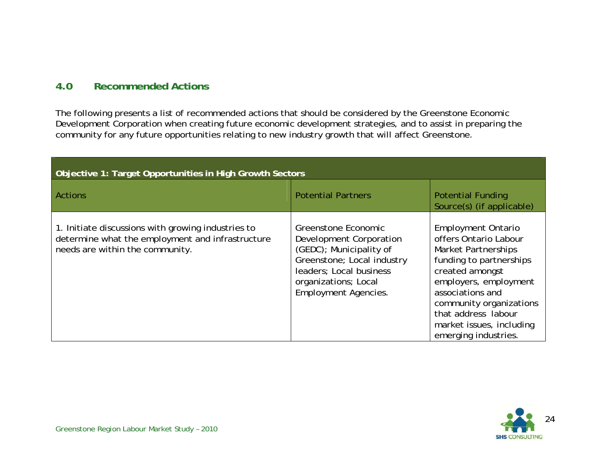#### **4.0Recommended Actions**

The following presents a list of recommended actions that should be considered by the Greenstone Economic Development Corporation when creating future economic development strategies, and to assist in preparing the community for any future opportunities relating to new industry growth that will affect Greenstone.

| Objective 1: Target Opportunities in High Growth Sectors                                                                                  |                                                                                                                                                                                           |                                                                                                                                                                                                                                                                                   |  |
|-------------------------------------------------------------------------------------------------------------------------------------------|-------------------------------------------------------------------------------------------------------------------------------------------------------------------------------------------|-----------------------------------------------------------------------------------------------------------------------------------------------------------------------------------------------------------------------------------------------------------------------------------|--|
| <b>Actions</b>                                                                                                                            | <b>Potential Partners</b>                                                                                                                                                                 | <b>Potential Funding</b><br>Source(s) (if applicable)                                                                                                                                                                                                                             |  |
| 1. Initiate discussions with growing industries to<br>determine what the employment and infrastructure<br>needs are within the community. | Greenstone Economic<br>Development Corporation<br>(GEDC); Municipality of<br>Greenstone; Local industry<br>leaders; Local business<br>organizations; Local<br><b>Employment Agencies.</b> | <b>Employment Ontario</b><br>offers Ontario Labour<br><b>Market Partnerships</b><br>funding to partnerships<br>created amongst<br>employers, employment<br>associations and<br>community organizations<br>that address labour<br>market issues, including<br>emerging industries. |  |

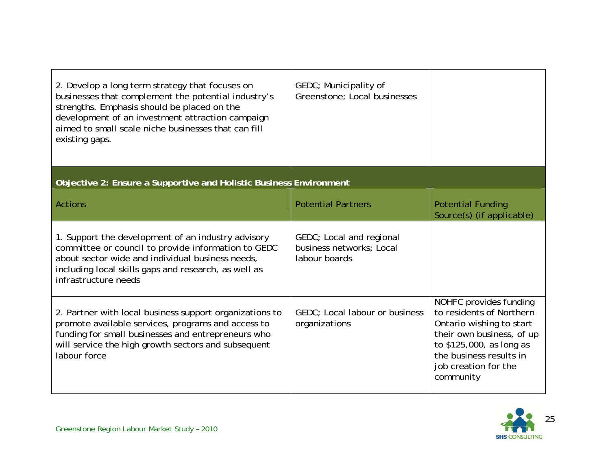| 2. Develop a long term strategy that focuses on<br>businesses that complement the potential industry's<br>strengths. Emphasis should be placed on the<br>development of an investment attraction campaign<br>aimed to small scale niche businesses that can fill<br>existing gaps. | GEDC; Municipality of<br>Greenstone; Local businesses                 |                                                                                                                                                                                                         |
|------------------------------------------------------------------------------------------------------------------------------------------------------------------------------------------------------------------------------------------------------------------------------------|-----------------------------------------------------------------------|---------------------------------------------------------------------------------------------------------------------------------------------------------------------------------------------------------|
| Objective 2: Ensure a Supportive and Holistic Business Environment                                                                                                                                                                                                                 |                                                                       |                                                                                                                                                                                                         |
| <b>Actions</b>                                                                                                                                                                                                                                                                     | <b>Potential Partners</b>                                             | <b>Potential Funding</b><br>Source(s) (if applicable)                                                                                                                                                   |
| 1. Support the development of an industry advisory<br>committee or council to provide information to GEDC<br>about sector wide and individual business needs,<br>including local skills gaps and research, as well as<br>infrastructure needs                                      | GEDC; Local and regional<br>business networks; Local<br>labour boards |                                                                                                                                                                                                         |
| 2. Partner with local business support organizations to<br>promote available services, programs and access to<br>funding for small businesses and entrepreneurs who<br>will service the high growth sectors and subsequent<br>labour force                                         | GEDC; Local labour or business<br>organizations                       | NOHFC provides funding<br>to residents of Northern<br>Ontario wishing to start<br>their own business, of up<br>to \$125,000, as long as<br>the business results in<br>job creation for the<br>community |

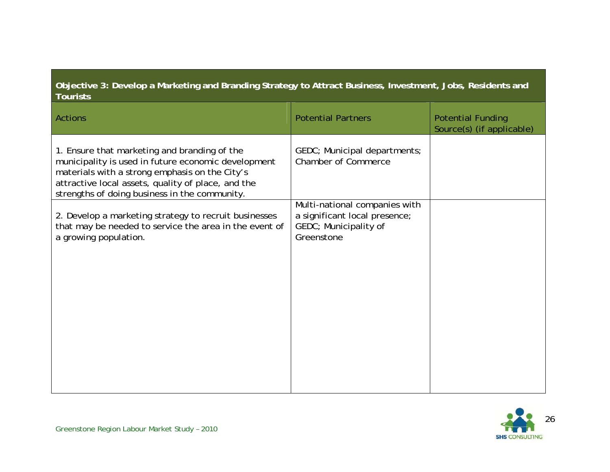#### **Objective 3: Develop a Marketing and Branding Strategy to Attract Business, Investment, Jobs, Residents and Tourists**

| Actions                                                                                                                                                                                                                                                      | <b>Potential Partners</b>                                                                             | <b>Potential Funding</b><br>Source(s) (if applicable) |
|--------------------------------------------------------------------------------------------------------------------------------------------------------------------------------------------------------------------------------------------------------------|-------------------------------------------------------------------------------------------------------|-------------------------------------------------------|
| 1. Ensure that marketing and branding of the<br>municipality is used in future economic development<br>materials with a strong emphasis on the City's<br>attractive local assets, quality of place, and the<br>strengths of doing business in the community. | GEDC; Municipal departments;<br><b>Chamber of Commerce</b>                                            |                                                       |
| 2. Develop a marketing strategy to recruit businesses<br>that may be needed to service the area in the event of<br>a growing population.                                                                                                                     | Multi-national companies with<br>a significant local presence;<br>GEDC; Municipality of<br>Greenstone |                                                       |

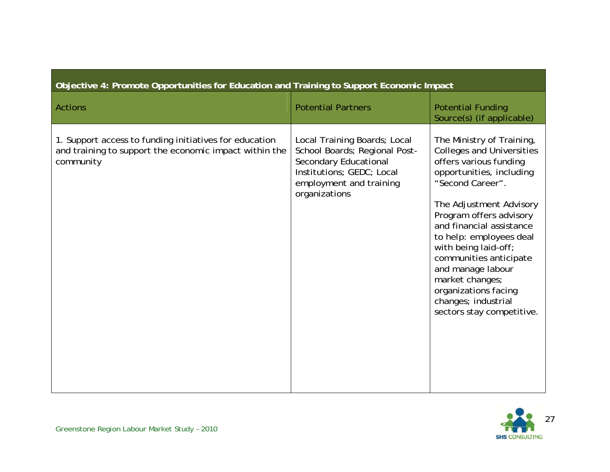| Objective 4: Promote Opportunities for Education and Training to Support Economic Impact                                      |                                                                                                                                                                 |                                                                                                                                                                                                                                                                                                                                                                                                                            |  |
|-------------------------------------------------------------------------------------------------------------------------------|-----------------------------------------------------------------------------------------------------------------------------------------------------------------|----------------------------------------------------------------------------------------------------------------------------------------------------------------------------------------------------------------------------------------------------------------------------------------------------------------------------------------------------------------------------------------------------------------------------|--|
| <b>Actions</b>                                                                                                                | <b>Potential Partners</b>                                                                                                                                       | <b>Potential Funding</b><br>Source(s) (if applicable)                                                                                                                                                                                                                                                                                                                                                                      |  |
| 1. Support access to funding initiatives for education<br>and training to support the economic impact within the<br>community | Local Training Boards; Local<br>School Boards; Regional Post-<br>Secondary Educational<br>Institutions; GEDC; Local<br>employment and training<br>organizations | The Ministry of Training,<br><b>Colleges and Universities</b><br>offers various funding<br>opportunities, including<br>"Second Career".<br>The Adjustment Advisory<br>Program offers advisory<br>and financial assistance<br>to help: employees deal<br>with being laid-off;<br>communities anticipate<br>and manage labour<br>market changes;<br>organizations facing<br>changes; industrial<br>sectors stay competitive. |  |

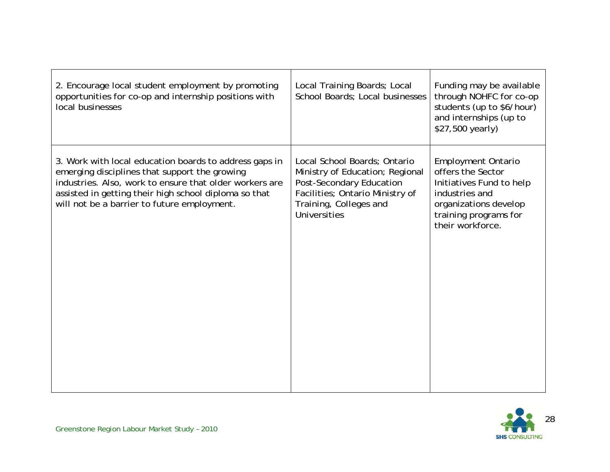| 2. Encourage local student employment by promoting<br>opportunities for co-op and internship positions with<br>local businesses                                                                                                                                            | Local Training Boards; Local<br>School Boards: Local businesses                                                                                                          | Funding may be available<br>through NOHFC for co-op<br>students (up to \$6/hour)<br>and internships (up to<br>\$27,500 yearly)                                     |
|----------------------------------------------------------------------------------------------------------------------------------------------------------------------------------------------------------------------------------------------------------------------------|--------------------------------------------------------------------------------------------------------------------------------------------------------------------------|--------------------------------------------------------------------------------------------------------------------------------------------------------------------|
| 3. Work with local education boards to address gaps in<br>emerging disciplines that support the growing<br>industries. Also, work to ensure that older workers are<br>assisted in getting their high school diploma so that<br>will not be a barrier to future employment. | Local School Boards; Ontario<br>Ministry of Education; Regional<br>Post-Secondary Education<br>Facilities; Ontario Ministry of<br>Training, Colleges and<br>Universities | <b>Employment Ontario</b><br>offers the Sector<br>Initiatives Fund to help<br>industries and<br>organizations develop<br>training programs for<br>their workforce. |

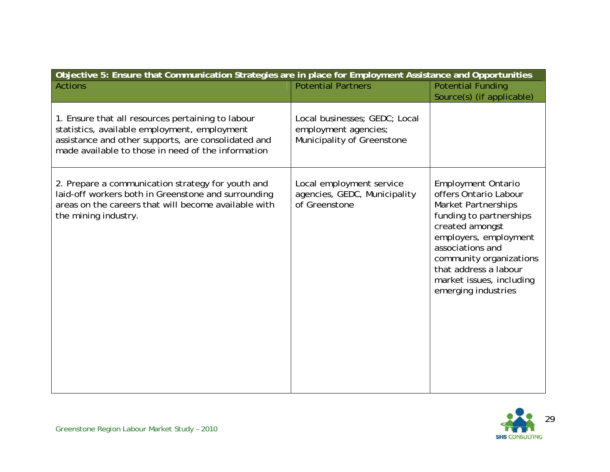| Objective 5: Ensure that Communication Strategies are in place for Employment Assistance and Opportunities                                                                                                     |                                                                                     |                                                                                                                                                                                                                                                                                    |  |
|----------------------------------------------------------------------------------------------------------------------------------------------------------------------------------------------------------------|-------------------------------------------------------------------------------------|------------------------------------------------------------------------------------------------------------------------------------------------------------------------------------------------------------------------------------------------------------------------------------|--|
| <b>Actions</b>                                                                                                                                                                                                 | <b>Potential Partners</b>                                                           | <b>Potential Funding</b><br>Source(s) (if applicable)                                                                                                                                                                                                                              |  |
| 1. Ensure that all resources pertaining to labour<br>statistics, available employment, employment<br>assistance and other supports, are consolidated and<br>made available to those in need of the information | Local businesses; GEDC; Local<br>employment agencies;<br>Municipality of Greenstone |                                                                                                                                                                                                                                                                                    |  |
| 2. Prepare a communication strategy for youth and<br>laid-off workers both in Greenstone and surrounding<br>areas on the careers that will become available with<br>the mining industry.                       | Local employment service<br>agencies, GEDC, Municipality<br>of Greenstone           | <b>Employment Ontario</b><br>offers Ontario Labour<br><b>Market Partnerships</b><br>funding to partnerships<br>created amongst<br>employers, employment<br>associations and<br>community organizations<br>that address a labour<br>market issues, including<br>emerging industries |  |

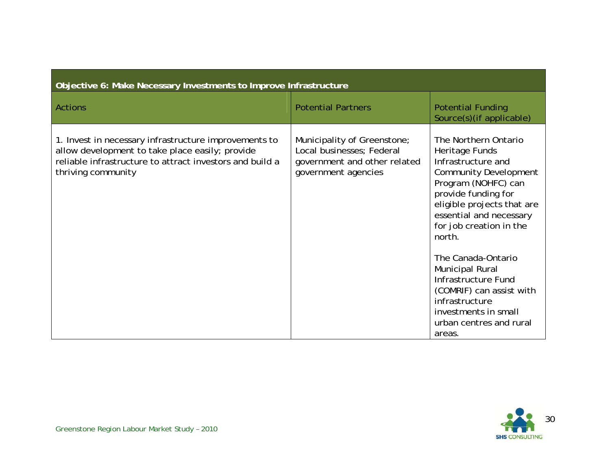| Objective 6: Make Necessary Investments to Improve Infrastructure                                                                                                                          |                                                                                                                 |                                                                                                                                                                                                                                                                                                                                             |  |
|--------------------------------------------------------------------------------------------------------------------------------------------------------------------------------------------|-----------------------------------------------------------------------------------------------------------------|---------------------------------------------------------------------------------------------------------------------------------------------------------------------------------------------------------------------------------------------------------------------------------------------------------------------------------------------|--|
| <b>Actions</b>                                                                                                                                                                             | <b>Potential Partners</b>                                                                                       | <b>Potential Funding</b><br>Source(s) (if applicable)                                                                                                                                                                                                                                                                                       |  |
| 1. Invest in necessary infrastructure improvements to<br>allow development to take place easily; provide<br>reliable infrastructure to attract investors and build a<br>thriving community | Municipality of Greenstone;<br>Local businesses; Federal<br>government and other related<br>government agencies | The Northern Ontario<br>Heritage Funds<br>Infrastructure and<br><b>Community Development</b><br>Program (NOHFC) can<br>provide funding for<br>eligible projects that are<br>essential and necessary<br>for job creation in the<br>north.<br>The Canada-Ontario<br><b>Municipal Rural</b><br>Infrastructure Fund<br>(COMRIF) can assist with |  |
|                                                                                                                                                                                            |                                                                                                                 | infrastructure<br>investments in small<br>urban centres and rural<br>areas.                                                                                                                                                                                                                                                                 |  |

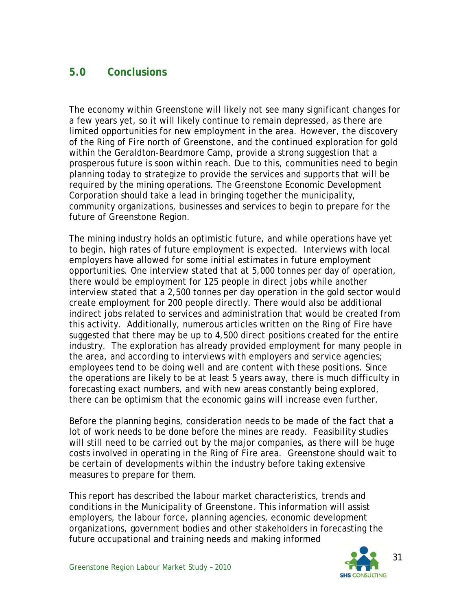# **5.0 Conclusions**

The economy within Greenstone will likely not see many significant changes for a few years yet, so it will likely continue to remain depressed, as there are limited opportunities for new employment in the area. However, the discovery of the Ring of Fire north of Greenstone, and the continued exploration for gold within the Geraldton-Beardmore Camp, provide a strong suggestion that a prosperous future is soon within reach. Due to this, communities need to begin planning today to strategize to provide the services and supports that will be required by the mining operations. The Greenstone Economic Development Corporation should take a lead in bringing together the municipality, community organizations, businesses and services to begin to prepare for the future of Greenstone Region.

The mining industry holds an optimistic future, and while operations have yet to begin, high rates of future employment is expected. Interviews with local employers have allowed for some initial estimates in future employment opportunities. One interview stated that at 5,000 tonnes per day of operation, there would be employment for 125 people in direct jobs while another interview stated that a 2,500 tonnes per day operation in the gold sector would create employment for 200 people directly. There would also be additional indirect jobs related to services and administration that would be created from this activity. Additionally, numerous articles written on the Ring of Fire have suggested that there may be up to 4,500 direct positions created for the entire industry. The exploration has already provided employment for many people in the area, and according to interviews with employers and service agencies; employees tend to be doing well and are content with these positions. Since the operations are likely to be at least 5 years away, there is much difficulty in forecasting exact numbers, and with new areas constantly being explored, there can be optimism that the economic gains will increase even further.

Before the planning begins, consideration needs to be made of the fact that a lot of work needs to be done before the mines are ready. Feasibility studies will still need to be carried out by the major companies, as there will be huge costs involved in operating in the Ring of Fire area. Greenstone should wait to be certain of developments within the industry before taking extensive measures to prepare for them.

This report has described the labour market characteristics, trends and conditions in the Municipality of Greenstone. This information will assist employers, the labour force, planning agencies, economic development organizations, government bodies and other stakeholders in forecasting the future occupational and training needs and making informed

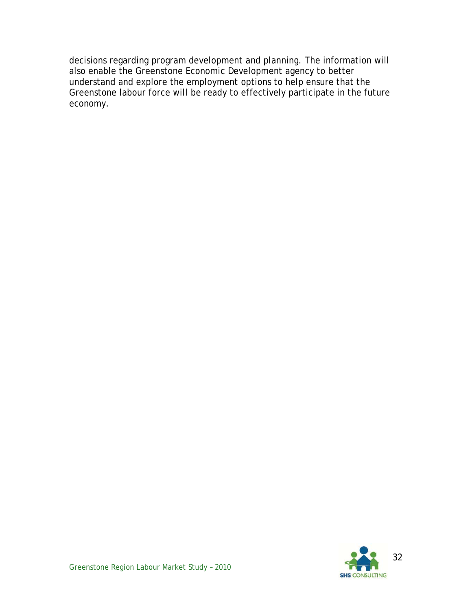decisions regarding program development and planning. The information will also enable the Greenstone Economic Development agency to better understand and explore the employment options to help ensure that the Greenstone labour force will be ready to effectively participate in the future economy.

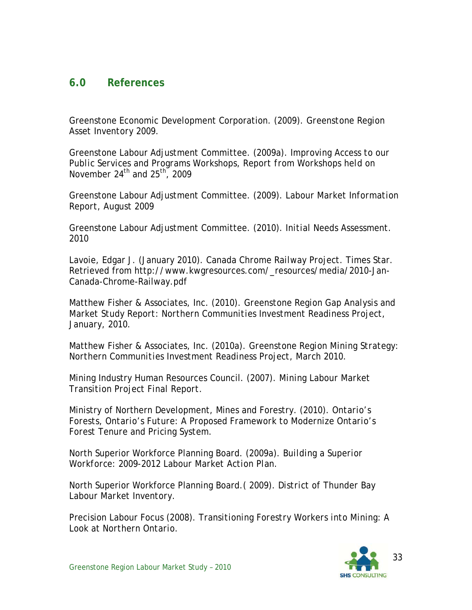### **6.0 References**

Greenstone Economic Development Corporation. (2009). *Greenstone Region Asset Inventory 2009.* 

Greenstone Labour Adjustment Committee. (2009a). *Improving Access to our Public Services and Programs Workshops, Report from Workshops held on November 24th and 25th, 2009* 

Greenstone Labour Adjustment Committee. (2009). *Labour Market Information Report, August 2009* 

Greenstone Labour Adjustment Committee. (2010). *Initial Needs Assessment. 2010* 

Lavoie, Edgar J. (January 2010). *Canada Chrome Railway Project.* Times Star. Retrieved from http://www.kwgresources.com/\_resources/media/2010-Jan-Canada-Chrome-Railway.pdf

Matthew Fisher & Associates, Inc. (2010). *Greenstone Region Gap Analysis and Market Study Report: Northern Communities Investment Readiness Project, January, 2010.* 

Matthew Fisher & Associates, Inc. (2010a). *Greenstone Region Mining Strategy: Northern Communities Investment Readiness Project, March 2010.*

Mining Industry Human Resources Council. (2007). *Mining Labour Market Transition Project Final Report.* 

Ministry of Northern Development, Mines and Forestry. (2010). *Ontario's Forests, Ontario's Future: A Proposed Framework to Modernize Ontario's Forest Tenure and Pricing System.* 

North Superior Workforce Planning Board. (2009a). *Building a Superior Workforce: 2009-2012 Labour Market Action Plan.* 

North Superior Workforce Planning Board.( 2009). *District of Thunder Bay Labour Market Inventory.* 

Precision Labour Focus (2008). *Transitioning Forestry Workers into Mining: A Look at Northern Ontario.* 

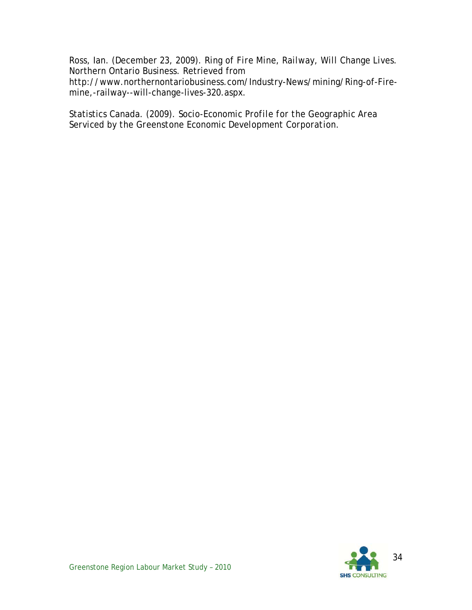Ross, Ian. (December 23, 2009). *Ring of Fire Mine, Railway, Will Change Lives.*  Northern Ontario Business. Retrieved from http://www.northernontariobusiness.com/Industry-News/mining/Ring-of-Firemine,-railway--will-change-lives-320.aspx.

Statistics Canada. (2009). *Socio-Economic Profile for the Geographic Area Serviced by the Greenstone Economic Development Corporation.*